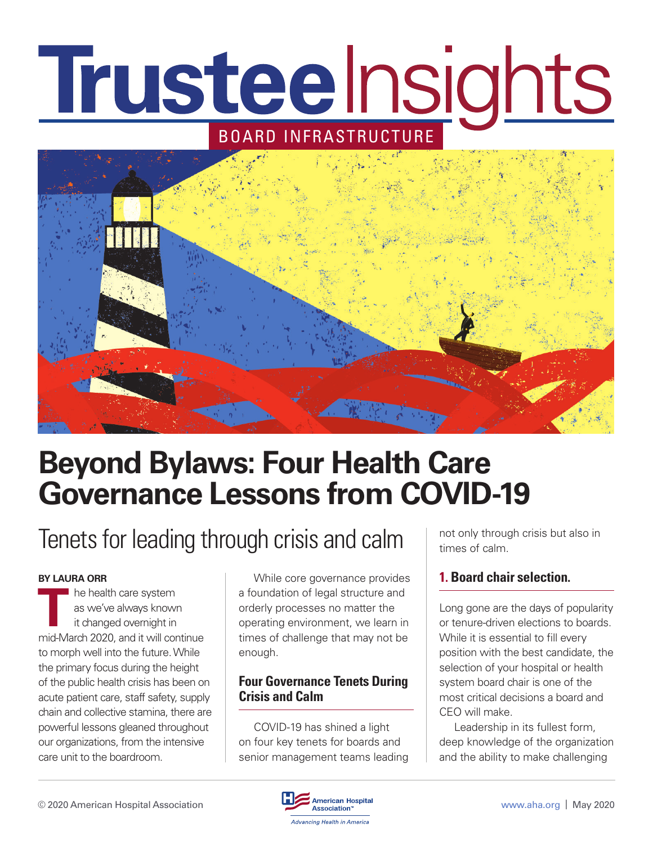# Trusteelnsights BOARD INFRASTRUCTURE



## **Beyond Bylaws: Four Health Care Governance Lessons from COVID-19**

### Tenets for leading through crisis and calm

#### **BY LAURA ORR**

**The health care system**<br>as we've always known<br>it changed overnight in<br>mid March 2020, and it will get as we've always known it changed overnight in mid-March 2020, and it will continue to morph well into the future. While the primary focus during the height of the public health crisis has been on acute patient care, staff safety, supply chain and collective stamina, there are powerful lessons gleaned throughout our organizations, from the intensive care unit to the boardroom.

While core governance provides a foundation of legal structure and orderly processes no matter the operating environment, we learn in times of challenge that may not be enough.

### **Four Governance Tenets During Crisis and Calm**

COVID-19 has shined a light on four key tenets for boards and senior management teams leading not only through crisis but also in times of calm.

### **1. Board chair selection.**

Long gone are the days of popularity or tenure-driven elections to boards. While it is essential to fill every position with the best candidate, the selection of your hospital or health system board chair is one of the most critical decisions a board and CEO will make.

Leadership in its fullest form, deep knowledge of the organization and the ability to make challenging